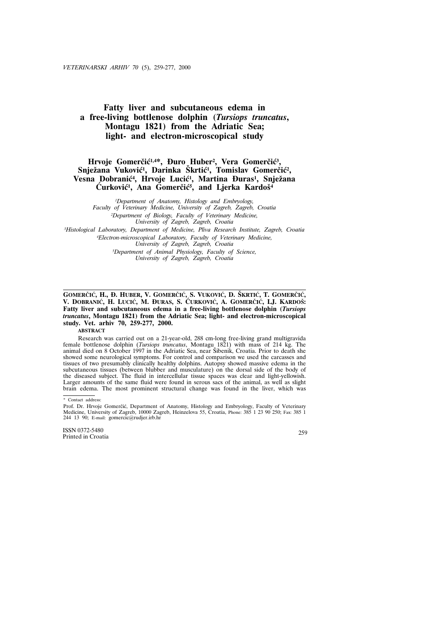# **Fatty liver and subcutaneous edema in a free-living bottlenose dolphin (***Tursiops truncatus***, Montagu 1821) from the Adriatic Sea; light- and electron-microscopical study**

## Hrvoje Gomerčić<sup>1,4\*</sup>, Đuro Huber<sup>2</sup>, Vera Gomerčić<sup>3</sup>, Snježana Vuković<sup>1</sup>, Darinka Škrtić<sup>1</sup>, Tomislav Gomerčić<sup>2</sup>, Vesna Dobranić<sup>4</sup>, Hrvoje Lucić<sup>1</sup>, Martina Đuras<sup>1</sup>, Snježana Curković<sup>1</sup>, Ana Gomerčić<sup>5</sup>, and Ljerka Kardoš<sup>4</sup>

*1Department of Anatomy, Histology and Embryology, Faculty of Veterinary Medicine, University of Zagreb, Zagreb, Croatia 2Department of Biology, Faculty of Veterinary Medicine, University of Zagreb, Zagreb, Croatia*

*3Histological Laboratory, Department of Medicine, Pliva Research Institute, Zagreb, Croatia*

*4Electron-microscopical Laboratory, Faculty of Veterinary Medicine, University of Zagreb, Zagreb, Croatia*

*5Department of Animal Physiology, Faculty of Science, University of Zagreb, Zagreb, Croatia*

### GOMERČIĆ, H., Đ. HUBER, V. GOMERČIĆ, S. VUKOVIĆ, D. ŠKRTIĆ, T. GOMERČIĆ, V. DOBRANIĆ, H. LUCIĆ, M. ĐURAS, S. ĆURKOVIĆ, A. GOMERČIĆ, LJ. KARDOŠ: **Fatty liver and subcutaneous edema in a free-living bottlenose dolphin (***Tursiops truncatus***, Montagu 1821) from the Adriatic Sea; light- and electron-microscopical study. Vet. arhiv 70, 259-277, 2000.**

#### **ABSTRACT**

Research was carried out on a 21-year-old, 288 cm-long free-living grand multigravida female bottlenose dolphin (*Tursiops truncatus*, Montagu 1821) with mass of 214 kg. The animal died on 8 October 1997 in the Adriatic Sea, near Šibenik, Croatia. Prior to death she showed some neurological symptoms. For control and comparison we used the carcasses and tissues of two presumably clinically healthy dolphins. Autopsy showed massive edema in the subcutaneous tissues (between blubber and musculature) on the dorsal side of the body of the diseased subject. The fluid in intercellular tissue spaces was clear and light-yellowish. Larger amounts of the same fluid were found in serous sacs of the animal, as well as slight brain edema. The most prominent structural change was found in the liver, which was

ISSN 0372-5480 Printed in Croatia 259

<sup>\*</sup> Contact address:

Prof. Dr. Hrvoje Gomerčić, Department of Anatomy, Histology and Embryology, Faculty of Veterinary Medicine, University of Zagreb, 10000 Zagreb, Heinzelova 55, Croatia, Phone: 385 1 23 90 250; Fax: 385 1 244 13 90; E-mail: gomercic@rudjer.irb.hr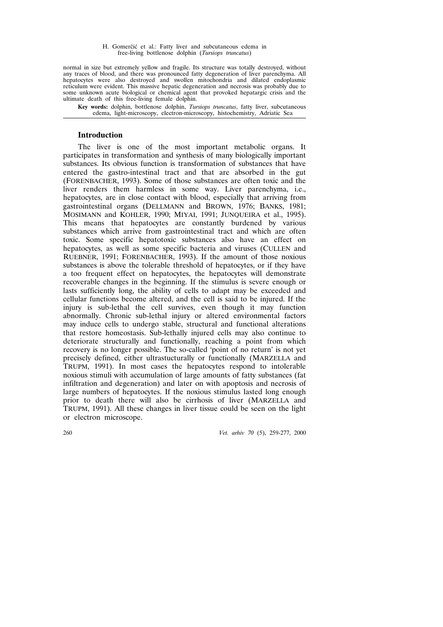normal in size but extremely yellow and fragile. Its structure was totally destroyed, without any traces of blood, and there was pronounced fatty degeneration of liver parenchyma. All hepatocytes were also destroyed and swollen mitochondria and dilated endoplasmic reticulum were evident. This massive hepatic degeneration and necrosis was probably due to some unknown acute biological or chemical agent that provoked hepatargic crisis and the ultimate death of this free-living female dolphin.

**Key words:** dolphin, bottlenose dolphin, *Tursiops truncatus*, fatty liver, subcutaneous edema, light-microscopy, electron-microscopy, histochemistry, Adriatic Sea

### **Introduction**

The liver is one of the most important metabolic organs. It participates in transformation and synthesis of many biologically important substances. Its obvious function is transformation of substances that have entered the gastro-intestinal tract and that are absorbed in the gut (FORENBACHER, 1993). Some of those substances are often toxic and the liver renders them harmless in some way. Liver parenchyma, i.e., hepatocytes, are in close contact with blood, especially that arriving from gastrointestinal organs (DELLMANN and BROWN, 1976; BANKS, 1981; MOSIMANN and KOHLER, 1990; MIYAI, 1991; JUNQUEIRA et al., 1995). This means that hepatocytes are constantly burdened by various substances which arrive from gastrointestinal tract and which are often toxic. Some specific hepatotoxic substances also have an effect on hepatocytes, as well as some specific bacteria and viruses (CULLEN and RUEBNER, 1991; FORENBACHER, 1993). If the amount of those noxious substances is above the tolerable threshold of hepatocytes, or if they have a too frequent effect on hepatocytes, the hepatocytes will demonstrate recoverable changes in the beginning. If the stimulus is severe enough or lasts sufficiently long, the ability of cells to adapt may be exceeded and cellular functions become altered, and the cell is said to be injured. If the injury is sub-lethal the cell survives, even though it may function abnormally. Chronic sub-lethal injury or altered environmental factors may induce cells to undergo stable, structural and functional alterations that restore homeostasis. Sub-lethally injured cells may also continue to deteriorate structurally and functionally, reaching a point from which recovery is no longer possible. The so-called 'point of no return' is not yet precisely defined, either ultrastucturally or functionally (MARZELLA and TRUPM, 1991). In most cases the hepatocytes respond to intolerable noxious stimuli with accumulation of large amounts of fatty substances (fat infiltration and degeneration) and later on with apoptosis and necrosis of large numbers of hepatocytes. If the noxious stimulus lasted long enough prior to death there will also be cirrhosis of liver (MARZELLA and TRUPM, 1991). All these changes in liver tissue could be seen on the light or electron microscope.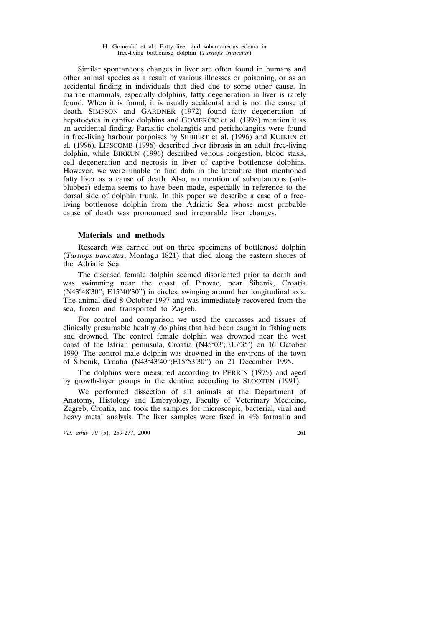Similar spontaneous changes in liver are often found in humans and other animal species as a result of various illnesses or poisoning, or as an accidental finding in individuals that died due to some other cause. In marine mammals, especially dolphins, fatty degeneration in liver is rarely found. When it is found, it is usually accidental and is not the cause of death. SIMPSON and GARDNER (1972) found fatty degeneration of hepatocytes in captive dolphins and GOMERC<sup>I</sup>C et al. (1998) mention it as an accidental finding. Parasitic cholangitis and pericholangitis were found in free-living harbour porpoises by SIEBERT et al. (1996) and KUIKEN et al. (1996). LIPSCOMB (1996) described liver fibrosis in an adult free-living dolphin, while BIRKUN (1996) described venous congestion, blood stasis, cell degeneration and necrosis in liver of captive bottlenose dolphins. However, we were unable to find data in the literature that mentioned fatty liver as a cause of death. Also, no mention of subcutaneous (subblubber) edema seems to have been made, especially in reference to the dorsal side of dolphin trunk. In this paper we describe a case of a freeliving bottlenose dolphin from the Adriatic Sea whose most probable cause of death was pronounced and irreparable liver changes.

### **Materials and methods**

Research was carried out on three specimens of bottlenose dolphin (*Tursiops truncatus*, Montagu 1821) that died along the eastern shores of the Adriatic Sea.

The diseased female dolphin seemed disoriented prior to death and was swimming near the coast of Pirovac, near Šibenik, Croatia (N43°48'30''; E15°40'30'') in circles, swinging around her longitudinal axis. The animal died 8 October 1997 and was immediately recovered from the sea, frozen and transported to Zagreb.

For control and comparison we used the carcasses and tissues of clinically presumable healthy dolphins that had been caught in fishing nets and drowned. The control female dolphin was drowned near the west coast of the Istrian peninsula, Croatia (N45°03';E13°35') on 16 October 1990. The control male dolphin was drowned in the environs of the town of Šibenik, Croatia (N43°43'40";E15°53'30") on 21 December 1995.

The dolphins were measured according to PERRIN (1975) and aged by growth-layer groups in the dentine according to SLOOTEN (1991).

We performed dissection of all animals at the Department of Anatomy, Histology and Embryology, Faculty of Veterinary Medicine, Zagreb, Croatia, and took the samples for microscopic, bacterial, viral and heavy metal analysis. The liver samples were fixed in 4% formalin and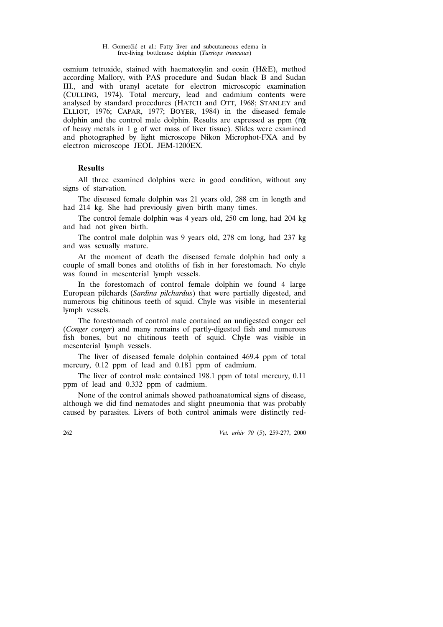osmium tetroxide, stained with haematoxylin and eosin (H&E), method according Mallory, with PAS procedure and Sudan black B and Sudan III., and with uranyl acetate for electron microscopic examination (CULLING, 1974). Total mercury, lead and cadmium contents were analysed by standard procedures (HATCH and OTT, 1968; STANLEY and ELLIOT, 1976; CAPAR, 1977; BOYER, 1984) in the diseased female dolphin and the control male dolphin. Results are expressed as ppm ( g of heavy metals in 1 g of wet mass of liver tissue). Slides were examined and photographed by light microscope Nikon Microphot-FXA and by electron microscope JEOL JEM-1200EX.

### **Results**

All three examined dolphins were in good condition, without any signs of starvation.

The diseased female dolphin was 21 years old, 288 cm in length and had 214 kg. She had previously given birth many times.

The control female dolphin was 4 years old, 250 cm long, had 204 kg and had not given birth.

The control male dolphin was 9 years old, 278 cm long, had 237 kg and was sexually mature.

At the moment of death the diseased female dolphin had only a couple of small bones and otoliths of fish in her forestomach. No chyle was found in mesenterial lymph vessels.

In the forestomach of control female dolphin we found 4 large European pilchards (*Sardina pilchardus*) that were partially digested, and numerous big chitinous teeth of squid. Chyle was visible in mesenterial lymph vessels.

The forestomach of control male contained an undigested conger eel (*Conger conger*) and many remains of partly-digested fish and numerous fish bones, but no chitinous teeth of squid. Chyle was visible in mesenterial lymph vessels.

The liver of diseased female dolphin contained 469.4 ppm of total mercury,  $0.12$  ppm of lead and  $0.181$  ppm of cadmium.

The liver of control male contained 198.1 ppm of total mercury, 0.11 ppm of lead and 0.332 ppm of cadmium.

None of the control animals showed pathoanatomical signs of disease, although we did find nematodes and slight pneumonia that was probably caused by parasites. Livers of both control animals were distinctly red-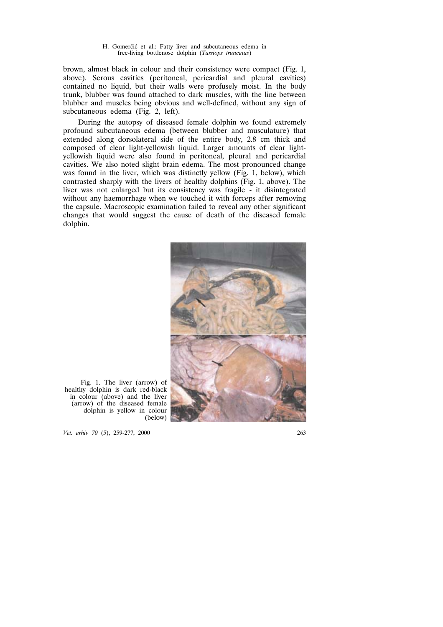brown, almost black in colour and their consistency were compact (Fig. 1, above). Serous cavities (peritoneal, pericardial and pleural cavities) contained no liquid, but their walls were profusely moist. In the body trunk, blubber was found attached to dark muscles, with the line between blubber and muscles being obvious and well-defined, without any sign of subcutaneous edema (Fig. 2, left).

During the autopsy of diseased female dolphin we found extremely profound subcutaneous edema (between blubber and musculature) that extended along dorsolateral side of the entire body, 2.8 cm thick and composed of clear light-yellowish liquid. Larger amounts of clear lightyellowish liquid were also found in peritoneal, pleural and pericardial cavities. We also noted slight brain edema. The most pronounced change was found in the liver, which was distinctly yellow (Fig. 1, below), which contrasted sharply with the livers of healthy dolphins (Fig. 1, above). The liver was not enlarged but its consistency was fragile - it disintegrated without any haemorrhage when we touched it with forceps after removing the capsule. Macroscopic examination failed to reveal any other significant changes that would suggest the cause of death of the diseased female dolphin.



Fig. 1. The liver (arrow) of healthy dolphin is dark red-black in colour (above) and the liver (arrow) of the diseased female dolphin is yellow in colour (below)

*Vet. arhiv 70* (5), 259-277, 2000 263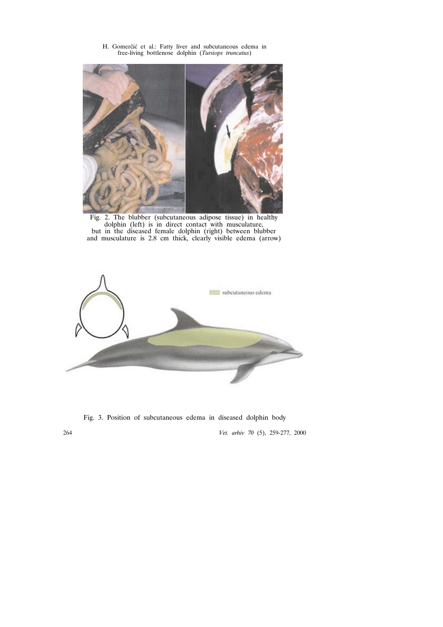Fig. 2. The blubber (subcutaneous adipose tissue) in healthy dolphin (left) is in direct contact with musculature, but in the diseased female dolphin (right) between blubber and musculature is 2.8 cm thick, clearly visible edema (arrow)



264 *Vet. arhiv 70* (5), 259-277, 2000 Fig. 3. Position of subcutaneous edema in diseased dolphin body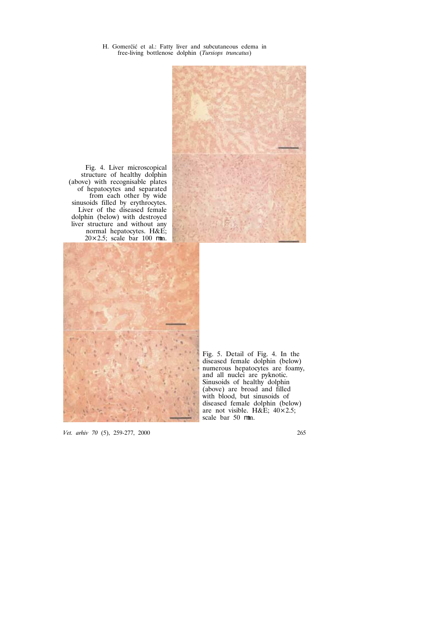

Fig. 4. Liver microscopical structure of healthy dolphin (above) with recognisable plates of hepatocytes and separated from each other by wide sinusoids filled by erythrocytes. Liver of the diseased female dolphin (below) with destroyed liver structure and without any normal hepatocytes. H&E; 20×2.5; scale bar 100 m.



Fig. 5. Detail of Fig. 4. In the diseased female dolphin (below) numerous hepatocytes are foamy, and all nuclei are pyknotic. Sinusoids of healthy dolphin (above) are broad and filled with blood, but sinusoids of diseased female dolphin (below) are not visible. H&E;  $40 \times 2.5$ ; scale bar 50 m.

*Vet. arhiv 70* (5), 259-277, 2000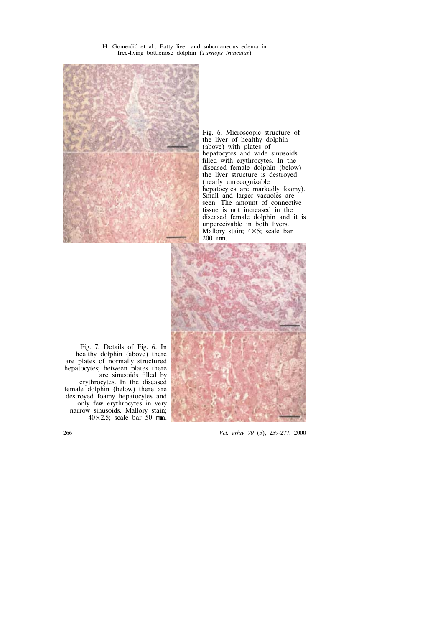

Fig. 6. Microscopic structure of the liver of healthy dolphin (above) with plates of hepatocytes and wide sinusoids filled with erythrocytes. In the diseased female dolphin (below) the liver structure is destroyed (nearly unrecognizable hepatocytes are markedly foamy). Small and larger vacuoles are seen. The amount of connective tissue is not increased in the diseased female dolphin and it is unperceivable in both livers. Mallory stain; 4×5; scale bar 200 m.



Fig. 7. Details of Fig. 6. In healthy dolphin (above) there are plates of normally structured hepatocytes; between plates there are sinusoids filled by erythrocytes. In the diseased female dolphin (below) there are destroyed foamy hepatocytes and only few erythrocytes in very narrow sinusoids. Mallory stain; 40×2.5; scale bar 50 m.

266 *Vet. arhiv 70* (5), 259-277, 2000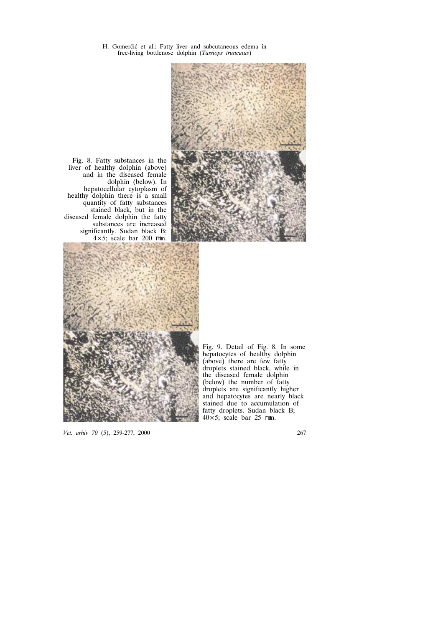

Fig. 8. Fatty substances in the liver of healthy dolphin (above) and in the diseased female dolphin (below). In hepatocellular cytoplasm of healthy dolphin there is a small quantity of fatty substances stained black, but in the diseased female dolphin the fatty substances are increased significantly. Sudan black B;<br> $4 \times 5$ : scale bar 200 m.  $4\times5$ ; scale bar 200



Fig. 9. Detail of Fig. 8. In some hepatocytes of healthy dolphin (above) there are few fatty droplets stained black, while in the diseased female dolphin (below) the number of fatty droplets are significantly higher and hepatocytes are nearly black stained due to accumulation of fatty droplets. Sudan black B; 40×5; scale bar 25 m.

*Vet. arhiv 70* (5), 259-277, 2000 267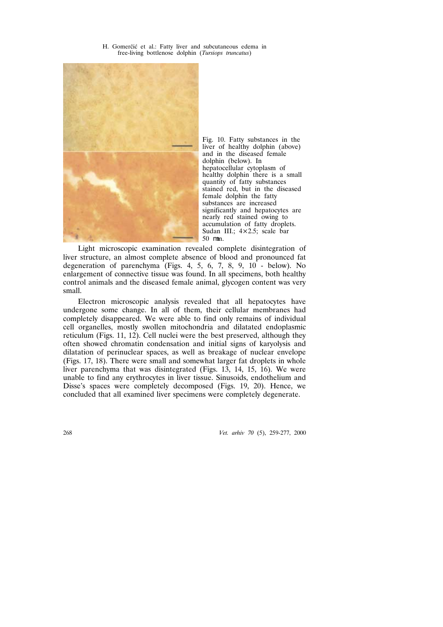



Fig. 10. Fatty substances in the liver of healthy dolphin (above) and in the diseased female dolphin (below). In hepatocellular cytoplasm of healthy dolphin there is a small quantity of fatty substances stained red, but in the diseased female dolphin the fatty substances are increased significantly and hepatocytes are nearly red stained owing to accumulation of fatty droplets. Sudan III.; 4×2.5; scale bar 50 m.

Light microscopic examination revealed complete disintegration of liver structure, an almost complete absence of blood and pronounced fat degeneration of parenchyma (Figs. 4, 5, 6, 7, 8, 9, 10 - below). No enlargement of connective tissue was found. In all specimens, both healthy control animals and the diseased female animal, glycogen content was very small.

Electron microscopic analysis revealed that all hepatocytes have undergone some change. In all of them, their cellular membranes had completely disappeared. We were able to find only remains of individual cell organelles, mostly swollen mitochondria and dilatated endoplasmic reticulum (Figs. 11, 12). Cell nuclei were the best preserved, although they often showed chromatin condensation and initial signs of karyolysis and dilatation of perinuclear spaces, as well as breakage of nuclear envelope (Figs. 17, 18). There were small and somewhat larger fat droplets in whole liver parenchyma that was disintegrated (Figs. 13, 14, 15, 16). We were unable to find any erythrocytes in liver tissue. Sinusoids, endothelium and Disse's spaces were completely decomposed (Figs. 19, 20). Hence, we concluded that all examined liver specimens were completely degenerate.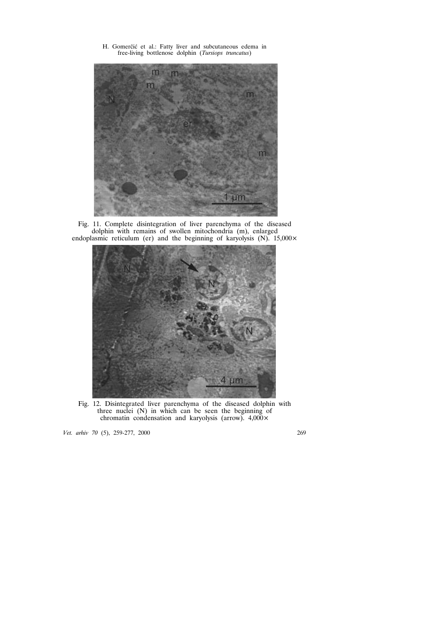

Fig. 11. Complete disintegration of liver parenchyma of the diseased dolphin with remains of swollen mitochondria (m), enlarged endoplasmic reticulum (er) and the beginning of karyolysis  $(N)$ . 15,000 $\times$ 



Fig. 12. Disintegrated liver parenchyma of the diseased dolphin with three nuclei (N) in which can be seen the beginning of chromatin condensation and karyolysis (arrow).  $4,000 \times$ 

*Vet. arhiv 70* (5), 259-277, 2000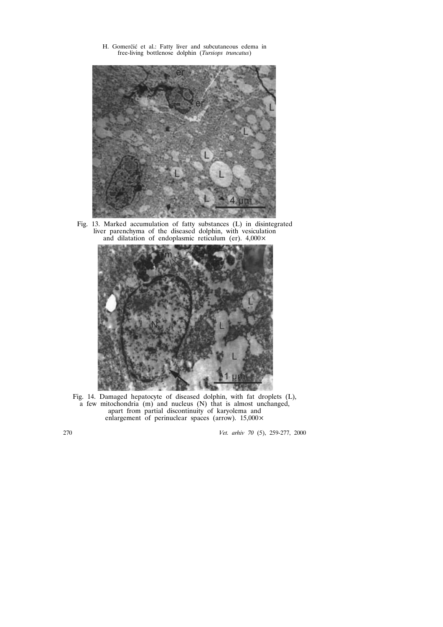

Fig. 13. Marked accumulation of fatty substances (L) in disintegrated liver parenchyma of the diseased dolphin, with vesiculation and dilatation of endoplasmic reticulum (er). 4,000×



Fig. 14. Damaged hepatocyte of diseased dolphin, with fat droplets (L), a few mitochondria (m) and nucleus (N) that is almost unchanged, apart from partial discontinuity of karyolema and enlargement of perinuclear spaces (arrow). 15,000×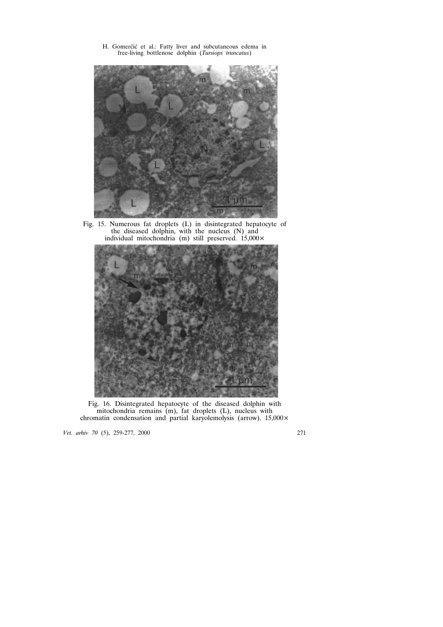

Fig. 15. Numerous fat droplets (L) in disintegrated hepatocyte of the diseased dolphin, with the nucleus (N) and individual mitochondria (m) still preserved.  $15,000 \times$ 



Fig. 16. Disintegrated hepatocyte of the diseased dolphin with mitochondria remains  $(m)$ , fat droplets  $(L)$ , nucleus with chromatin condensation and partial karyolemolysis (arrow). 15,000×

*Vet. arhiv 70* (5), 259-277, 2000 271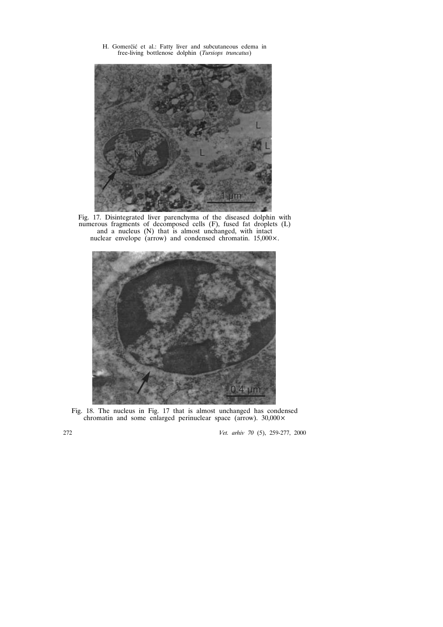

Fig. 17. Disintegrated liver parenchyma of the diseased dolphin with numerous fragments of decomposed cells (F), fused fat droplets (L) and a nucleus (N) that is almost unchanged, with intact nuclear envelope (arrow) and condensed chromatin. 15,000×.



Fig. 18. The nucleus in Fig. 17 that is almost unchanged has condensed chromatin and some enlarged perinuclear space (arrow). 30,000×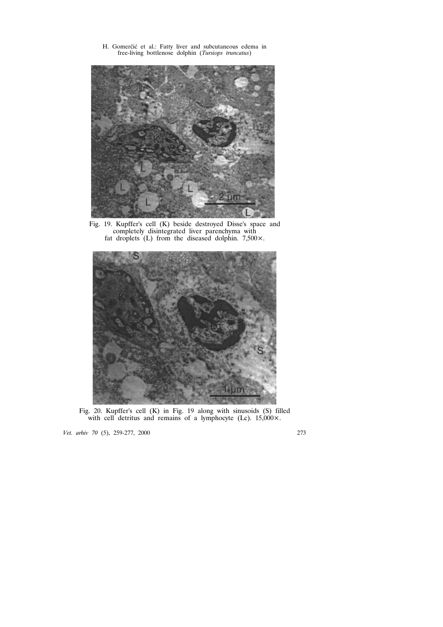

Fig. 19. Kupffer's cell (K) beside destroyed Disse's space and completely disintegrated liver parenchyma with fat droplets  $(L)$  from the diseased dolphin. 7,500 $\times$ .



Fig. 20. Kupffer's cell (K) in Fig. 19 along with sinusoids (S) filled with cell detritus and remains of a lymphocyte (Lc).  $15,000 \times$ .

*Vet. arhiv 70* (5), 259-277, 2000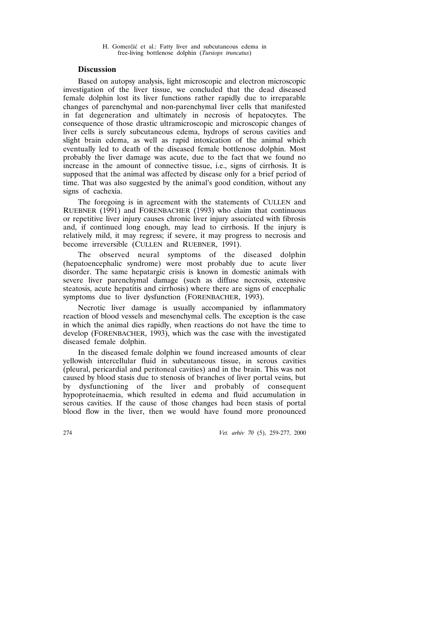## **Discussion**

Based on autopsy analysis, light microscopic and electron microscopic investigation of the liver tissue, we concluded that the dead diseased female dolphin lost its liver functions rather rapidly due to irreparable changes of parenchymal and non-parenchymal liver cells that manifested in fat degeneration and ultimately in necrosis of hepatocytes. The consequence of those drastic ultramicroscopic and microscopic changes of liver cells is surely subcutaneous edema, hydrops of serous cavities and slight brain edema, as well as rapid intoxication of the animal which eventually led to death of the diseased female bottlenose dolphin. Most probably the liver damage was acute, due to the fact that we found no increase in the amount of connective tissue, i.e., signs of cirrhosis. It is supposed that the animal was affected by disease only for a brief period of time. That was also suggested by the animal's good condition, without any signs of cachexia.

The foregoing is in agreement with the statements of CULLEN and RUEBNER (1991) and FORENBACHER (1993) who claim that continuous or repetitive liver injury causes chronic liver injury associated with fibrosis and, if continued long enough, may lead to cirrhosis. If the injury is relatively mild, it may regress; if severe, it may progress to necrosis and become irreversible (CULLEN and RUEBNER, 1991).

The observed neural symptoms of the diseased dolphin (hepatoencephalic syndrome) were most probably due to acute liver disorder. The same hepatargic crisis is known in domestic animals with severe liver parenchymal damage (such as diffuse necrosis, extensive steatosis, acute hepatitis and cirrhosis) where there are signs of encephalic symptoms due to liver dysfunction (FORENBACHER, 1993).

Necrotic liver damage is usually accompanied by inflammatory reaction of blood vessels and mesenchymal cells. The exception is the case in which the animal dies rapidly, when reactions do not have the time to develop (FORENBACHER, 1993), which was the case with the investigated diseased female dolphin.

In the diseased female dolphin we found increased amounts of clear yellowish intercellular fluid in subcutaneous tissue, in serous cavities (pleural, pericardial and peritoneal cavities) and in the brain. This was not caused by blood stasis due to stenosis of branches of liver portal veins, but by dysfunctioning of the liver and probably of consequent hypoproteinaemia, which resulted in edema and fluid accumulation in serous cavities. If the cause of those changes had been stasis of portal blood flow in the liver, then we would have found more pronounced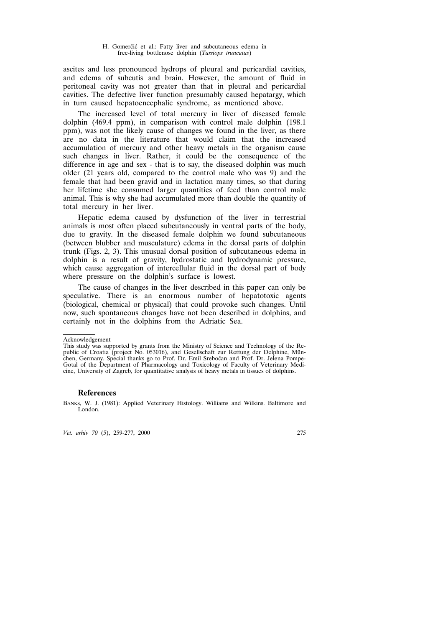ascites and less pronounced hydrops of pleural and pericardial cavities, and edema of subcutis and brain. However, the amount of fluid in peritoneal cavity was not greater than that in pleural and pericardial cavities. The defective liver function presumably caused hepatargy, which in turn caused hepatoencephalic syndrome, as mentioned above.

The increased level of total mercury in liver of diseased female dolphin (469.4 ppm), in comparison with control male dolphin (198.1 ppm), was not the likely cause of changes we found in the liver, as there are no data in the literature that would claim that the increased accumulation of mercury and other heavy metals in the organism cause such changes in liver. Rather, it could be the consequence of the difference in age and sex - that is to say, the diseased dolphin was much older (21 years old, compared to the control male who was 9) and the female that had been gravid and in lactation many times, so that during her lifetime she consumed larger quantities of feed than control male animal. This is why she had accumulated more than double the quantity of total mercury in her liver.

Hepatic edema caused by dysfunction of the liver in terrestrial animals is most often placed subcutaneously in ventral parts of the body, due to gravity. In the diseased female dolphin we found subcutaneous (between blubber and musculature) edema in the dorsal parts of dolphin trunk (Figs. 2, 3). This unusual dorsal position of subcutaneous edema in dolphin is a result of gravity, hydrostatic and hydrodynamic pressure, which cause aggregation of intercellular fluid in the dorsal part of body where pressure on the dolphin's surface is lowest.

The cause of changes in the liver described in this paper can only be speculative. There is an enormous number of hepatotoxic agents (biological, chemical or physical) that could provoke such changes. Until now, such spontaneous changes have not been described in dolphins, and certainly not in the dolphins from the Adriatic Sea.

### **References**

Acknowledgement

This study was supported by grants from the Ministry of Science and Technology of the Republic of Croatia (project No. 053016), and Gesellschaft zur Rettung der Delphine, München, Germany. Special thanks go to Prof. Dr. Emil Srebočan and Prof. Dr. Jelena Pompe-Gotal of the Department of Pharmacology and Toxicology of Faculty of Veterinary Medicine, University of Zagreb, for quantitative analysis of heavy metals in tissues of dolphins.

BANKS, W. J. (1981): Applied Veterinary Histology. Williams and Wilkins. Baltimore and London.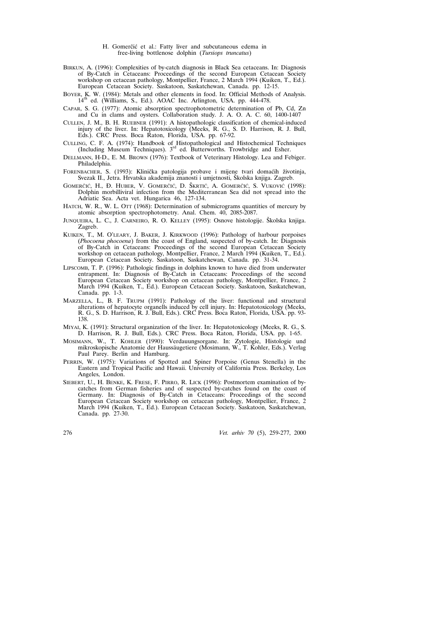- H. Gomerčić et al.: Fatty liver and subcutaneous edema in free-living bottlenose dolphin (*Tursiops truncatus*)
- BIRKUN, A. (1996): Complexities of by-catch diagnosis in Black Sea cetaceans. In: Diagnosis of By-Catch in Cetaceans: Proceedings of the second European Cetacean Society workshop on cetacean pathology, Montpellier, France, 2 March 1994 (Kuiken, T., Ed.). European Cetacean Society. Saskatoon, Saskatchewan, Canada. pp. 12-15.
- BOYER, K. W. (1984): Metals and other elements in food. In: Official Methods of Analysis.  $14<sup>th</sup>$  ed. (Williams, S., Ed.). AOAC Inc. Arlington, USA. pp. 444-478.
- CAPAR, S. G. (1977): Atomic absorption spectrophotometric determination of Pb, Cd, Zn and Cu in clams and oysters. Collaboration study. J. A. O. A. C. 60, 1400-1407
- CULLEN, J. M., B. H. RUEBNER (1991): A histopathologic classification of chemical-induced injury of the liver. In: Hepatotoxicology (Meeks, R. G., S. D. Harrison, R. J. Bull, Eds.). CRC Press. Boca Raton, Florida, USA. pp. 67-92.
- CULLING, C. F. A. (1974): Handbook of Histopathological and Histochemical Techniques (Including Museum Techniques).  $3<sup>rd</sup>$  ed. Butterworths. Trowbridge and Esher.
- DELLMANN, H-D., E. M. BROWN (1976): Textbook of Veterinary Histology. Lea and Febiger. Philadelphia.
- FORENBACHER, S. (1993): Klinička patologija probave i mijene tvari domaćih životinja, Svezak II., Jetra. Hrvatska akademija znanosti i umjetnosti. Školska knjiga. Zagreb.
- GOMERČIĆ, H., Đ. HUBER, V. GOMERČIĆ, D. ŠKRTIĆ, A. GOMERČIĆ, S. VUKOVIĆ (1998): Dolphin morbilliviral infection from the Mediterranean Sea did not spread into the Adriatic Sea. Acta vet. Hungarica 46, 127-134.
- HATCH, W. R., W. L. OTT (1968): Determination of submicrograms quantities of mercury by atomic absorption spectrophotometry. Anal. Chem. 40, 2085-2087.
- JUNQUEIRA, L. C., J. CARNEIRO, R. O. KELLEY (1995): Osnove histologije. Školska knjiga. Zagreb.
- KUIKEN, T., M. O'LEARY, J. BAKER, J. KIRKWOOD (1996): Pathology of harbour porpoises (*Phocoena phocoena*) from the coast of England, suspected of by-catch. In: Diagnosis of By-Catch in Cetaceans: Proceedings of the second European Cetacean Society workshop on cetacean pathology, Montpellier, France, 2 March 1994 (Kuiken, T., Ed.). European Cetacean Society. Saskatoon, Saskatchewan, Canada. pp. 31-34.
- LIPSCOMB, T. P. (1996): Pathologic findings in dolphins known to have died from underwater entrapment. In: Diagnosis of By-Catch in Cetaceans: Proceedings of the second European Cetacean Society workshop on cetacean pathology, Montpellier, France, 2 March 1994 (Kuiken, T., Ed.). European Cetacean Society. Saskatoon, Saskatchewan, Canada. pp. 1-3.
- MARZELLA, L., B. F. TRUPM (1991): Pathology of the liver: functional and structural alterations of hepatocyte organells induced by cell injury. In: Hepatotoxicology (Meeks, R. G., S. D. Harrison, R. J. Bull, Eds.). CRC Press. Boca Raton, Florida, USA. pp. 93- 138.
- MIYAI, K. (1991): Structural organization of the liver. In: Hepatotoxicology (Meeks, R. G., S. D. Harrison, R. J. Bull, Eds.). CRC Press. Boca Raton, Florida, USA. pp. 1-65.
- MOSIMANN, W., T. KOHLER (1990): Verdauungsorgane. In: Zytologie, Histologie und mikroskopische Anatomie der Haussäugetiere (Mosimann, W., T. Kohler, Eds.). Verlag Paul Parey. Berlin and Hamburg.
- PERRIN, W. (1975): Variations of Spotted and Spiner Porpoise (Genus Stenella) in the Eastern and Tropical Pacific and Hawaii. University of California Press. Berkeley, Los Angeles, London.
- SIEBERT, U., H. BENKE, K. FRESE, F. PIRRO, R. LICK (1996): Postmortem examination of bycatches from German fisheries and of suspected by-catches found on the coast of Germany. In: Diagnosis of By-Catch in Cetaceans: Proceedings of the second European Cetacean Society workshop on cetacean pathology, Montpellier, France, 2 March 1994 (Kuiken, T., Ed.). European Cetacean Society. Saskatoon, Saskatchewan, Canada. pp. 27-30.